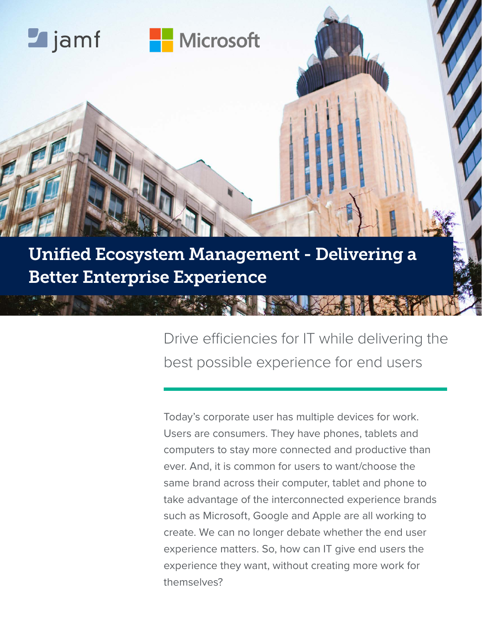

Unified Ecosystem Management - Delivering a Better Enterprise Experience

> Drive efficiencies for IT while delivering the best possible experience for end users

Today's corporate user has multiple devices for work. Users are consumers. They have phones, tablets and computers to stay more connected and productive than ever. And, it is common for users to want/choose the same brand across their computer, tablet and phone to take advantage of the interconnected experience brands such as Microsoft, Google and Apple are all working to create. We can no longer debate whether the end user experience matters. So, how can IT give end users the experience they want, without creating more work for themselves?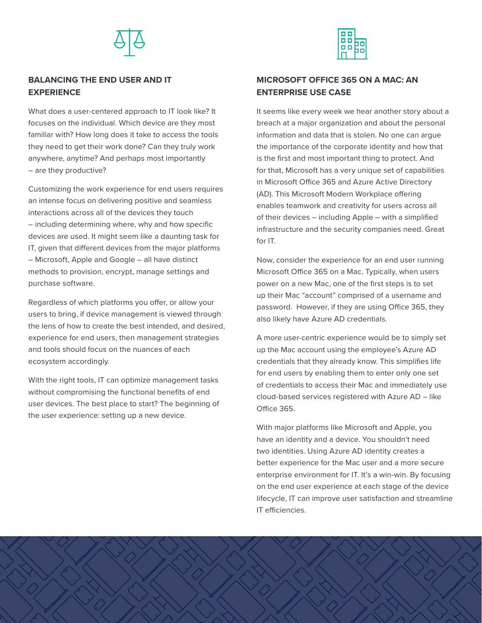



#### **BALANCING THE END USER AND IT EXPERIENCE**

What does a user-centered approach to IT look like? It focuses on the individual. Which device are they most familiar with? How long does it take to access the tools they need to get their work done? Can they truly work anywhere, anytime? And perhaps most importantly – are they productive?

Customizing the work experience for end users requires an intense focus on delivering positive and seamless interactions across all of the devices they touch – including determining where, why and how specific devices are used. It might seem like a daunting task for IT, given that different devices from the major platforms – Microsoft, Apple and Google – all have distinct methods to provision, encrypt, manage settings and purchase software.

Regardless of which platforms you offer, or allow your users to bring, if device management is viewed through the lens of how to create the best intended, and desired, experience for end users, then management strategies and tools should focus on the nuances of each ecosystem accordingly.

With the right tools, IT can optimize management tasks without compromising the functional benefits of end user devices. The best place to start? The beginning of the user experience: setting up a new device.

#### **MICROSOFT OFFICE 365 ON A MAC: AN ENTERPRISE USE CASE**

It seems like every week we hear another story about a breach at a major organization and about the personal information and data that is stolen. No one can argue the importance of the corporate identity and how that is the first and most important thing to protect. And for that, Microsoft has a very unique set of capabilities in Microsoft Office 365 and Azure Active Directory (AD). This Microsoft Modern Workplace offering enables teamwork and creativity for users across all of their devices – including Apple – with a simplified infrastructure and the security companies need. Great for IT.

Now, consider the experience for an end user running Microsoft Office 365 on a Mac. Typically, when users power on a new Mac, one of the first steps is to set up their Mac "account" comprised of a username and password. However, if they are using Office 365, they also likely have Azure AD credentials.

A more user-centric experience would be to simply set up the Mac account using the employee's Azure AD credentials that they already know. This simplifies life for end users by enabling them to enter only one set of credentials to access their Mac and immediately use cloud-based services registered with Azure AD – like Office 365.

With major platforms like Microsoft and Apple, you have an identity and a device. You shouldn't need two identities. Using Azure AD identity creates a better experience for the Mac user and a more secure enterprise environment for IT. It's a win-win. By focusing on the end user experience at each stage of the device lifecycle, IT can improve user satisfaction and streamline IT efficiencies.

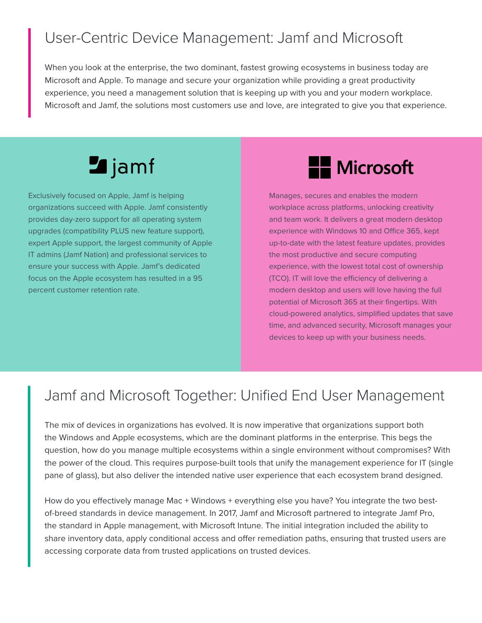## User-Centric Device Management: Jamf and Microsoft

When you look at the enterprise, the two dominant, fastest growing ecosystems in business today are Microsoft and Apple. To manage and secure your organization while providing a great productivity experience, you need a management solution that is keeping up with you and your modern workplace. Microsoft and Jamf, the solutions most customers use and love, are integrated to give you that experience.

# **Z** jamf

Exclusively focused on Apple, Jamf is helping organizations succeed with Apple. Jamf consistently provides day-zero support for all operating system upgrades (compatibility PLUS new feature support), expert Apple support, the largest community of Apple IT admins (Jamf Nation) and professional services to ensure your success with Apple. Jamf's dedicated focus on the Apple ecosystem has resulted in a 95 percent customer retention rate.

## **H** Microsoft

Manages, secures and enables the modern workplace across platforms, unlocking creativity and team work. It delivers a great modern desktop experience with Windows 10 and Office 365, kept up-to-date with the latest feature updates, provides the most productive and secure computing experience, with the lowest total cost of ownership (TCO). IT will love the efficiency of delivering a modern desktop and users will love having the full potential of Microsoft 365 at their fingertips. With cloud-powered analytics, simplified updates that save time, and advanced security, Microsoft manages your devices to keep up with your business needs.

## Jamf and Microsoft Together: Unified End User Management

The mix of devices in organizations has evolved. It is now imperative that organizations support both the Windows and Apple ecosystems, which are the dominant platforms in the enterprise. This begs the question, how do you manage multiple ecosystems within a single environment without compromises? With the power of the cloud. This requires purpose-built tools that unify the management experience for IT (single pane of glass), but also deliver the intended native user experience that each ecosystem brand designed.

How do you effectively manage Mac + Windows + everything else you have? You integrate the two bestof-breed standards in device management. In 2017, Jamf and Microsoft partnered to integrate Jamf Pro, the standard in Apple management, with Microsoft Intune. The initial integration included the ability to share inventory data, apply conditional access and offer remediation paths, ensuring that trusted users are accessing corporate data from trusted applications on trusted devices.